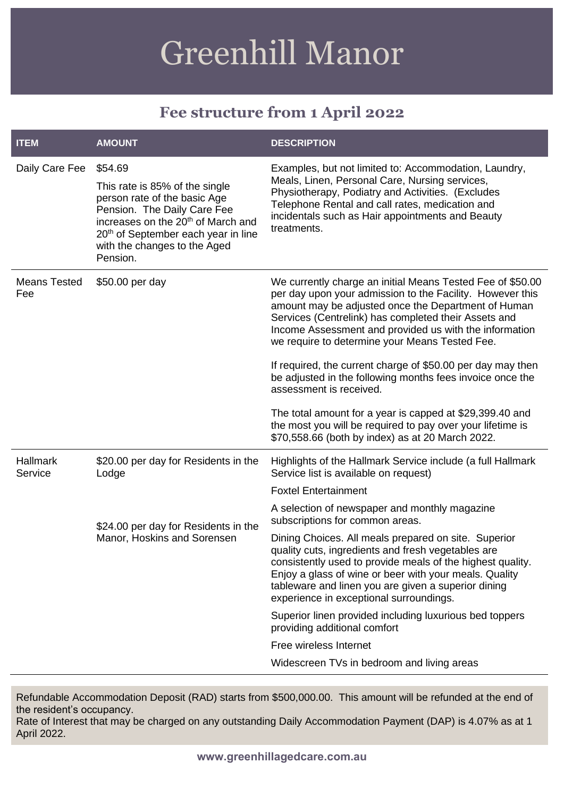# Greenhill Manor

## **Fee structure from 1 April 2022**

| <b>ITEM</b>                | <b>AMOUNT</b>                                                                                                                                                                                                                                             | <b>DESCRIPTION</b>                                                                                                                                                                                                                                                                                                                                                                                                                                                                                                                                              |
|----------------------------|-----------------------------------------------------------------------------------------------------------------------------------------------------------------------------------------------------------------------------------------------------------|-----------------------------------------------------------------------------------------------------------------------------------------------------------------------------------------------------------------------------------------------------------------------------------------------------------------------------------------------------------------------------------------------------------------------------------------------------------------------------------------------------------------------------------------------------------------|
| Daily Care Fee             | \$54.69<br>This rate is 85% of the single<br>person rate of the basic Age<br>Pension. The Daily Care Fee<br>increases on the 20 <sup>th</sup> of March and<br>20 <sup>th</sup> of September each year in line<br>with the changes to the Aged<br>Pension. | Examples, but not limited to: Accommodation, Laundry,<br>Meals, Linen, Personal Care, Nursing services,<br>Physiotherapy, Podiatry and Activities. (Excludes<br>Telephone Rental and call rates, medication and<br>incidentals such as Hair appointments and Beauty<br>treatments.                                                                                                                                                                                                                                                                              |
| <b>Means Tested</b><br>Fee | \$50.00 per day                                                                                                                                                                                                                                           | We currently charge an initial Means Tested Fee of \$50.00<br>per day upon your admission to the Facility. However this<br>amount may be adjusted once the Department of Human<br>Services (Centrelink) has completed their Assets and<br>Income Assessment and provided us with the information<br>we require to determine your Means Tested Fee.<br>If required, the current charge of \$50.00 per day may then<br>be adjusted in the following months fees invoice once the                                                                                  |
|                            |                                                                                                                                                                                                                                                           | assessment is received.<br>The total amount for a year is capped at \$29,399.40 and<br>the most you will be required to pay over your lifetime is<br>\$70,558.66 (both by index) as at 20 March 2022.                                                                                                                                                                                                                                                                                                                                                           |
| <b>Hallmark</b><br>Service | \$20.00 per day for Residents in the<br>Lodge<br>\$24.00 per day for Residents in the<br>Manor, Hoskins and Sorensen                                                                                                                                      | Highlights of the Hallmark Service include (a full Hallmark<br>Service list is available on request)<br><b>Foxtel Entertainment</b><br>A selection of newspaper and monthly magazine<br>subscriptions for common areas.<br>Dining Choices. All meals prepared on site. Superior<br>quality cuts, ingredients and fresh vegetables are<br>consistently used to provide meals of the highest quality.<br>Enjoy a glass of wine or beer with your meals. Quality<br>tableware and linen you are given a superior dining<br>experience in exceptional surroundings. |
|                            |                                                                                                                                                                                                                                                           | Superior linen provided including luxurious bed toppers<br>providing additional comfort<br>Free wireless Internet<br>Widescreen TVs in bedroom and living areas                                                                                                                                                                                                                                                                                                                                                                                                 |

Refundable Accommodation Deposit (RAD) starts from \$500,000.00. This amount will be refunded at the end of the resident's occupancy.

Rate of Interest that may be charged on any outstanding Daily Accommodation Payment (DAP) is 4.07% as at 1 April 2022.